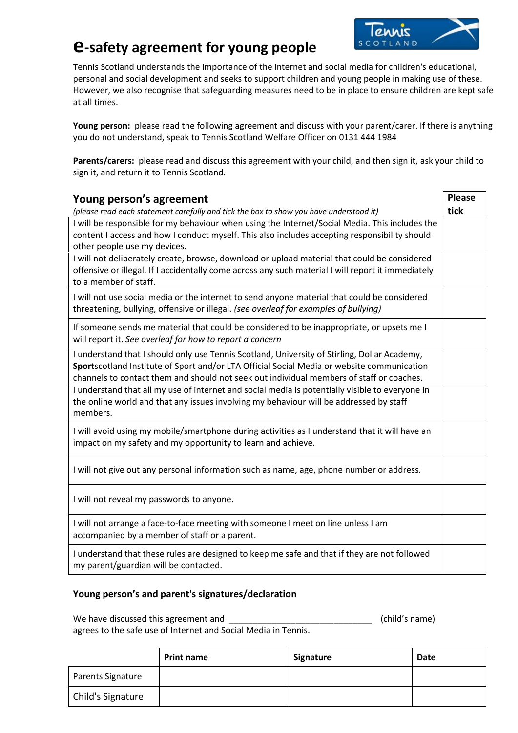# **e-safety agreement for young people**



Tennis Scotland understands the importance of the internet and social media for children's educational, personal and social development and seeks to support children and young people in making use of these. However, we also recognise that safeguarding measures need to be in place to ensure children are kept safe at all times.

**Young person:** please read the following agreement and discuss with your parent/carer. If there is anything you do not understand, speak to Tennis Scotland Welfare Officer on 0131 444 1984

**Parents/carers:** please read and discuss this agreement with your child, and then sign it, ask your child to sign it, and return it to Tennis Scotland.

| Young person's agreement                                                                                                                              | <b>Please</b> |
|-------------------------------------------------------------------------------------------------------------------------------------------------------|---------------|
| (please read each statement carefully and tick the box to show you have understood it)                                                                | tick          |
| I will be responsible for my behaviour when using the Internet/Social Media. This includes the                                                        |               |
| content I access and how I conduct myself. This also includes accepting responsibility should                                                         |               |
| other people use my devices.                                                                                                                          |               |
| I will not deliberately create, browse, download or upload material that could be considered                                                          |               |
| offensive or illegal. If I accidentally come across any such material I will report it immediately<br>to a member of staff.                           |               |
| I will not use social media or the internet to send anyone material that could be considered                                                          |               |
| threatening, bullying, offensive or illegal. (see overleaf for examples of bullying)                                                                  |               |
| If someone sends me material that could be considered to be inappropriate, or upsets me I<br>will report it. See overleaf for how to report a concern |               |
| I understand that I should only use Tennis Scotland, University of Stirling, Dollar Academy,                                                          |               |
| Sportscotland Institute of Sport and/or LTA Official Social Media or website communication                                                            |               |
| channels to contact them and should not seek out individual members of staff or coaches.                                                              |               |
| I understand that all my use of internet and social media is potentially visible to everyone in                                                       |               |
| the online world and that any issues involving my behaviour will be addressed by staff<br>members.                                                    |               |
| I will avoid using my mobile/smartphone during activities as I understand that it will have an                                                        |               |
| impact on my safety and my opportunity to learn and achieve.                                                                                          |               |
| I will not give out any personal information such as name, age, phone number or address.                                                              |               |
| I will not reveal my passwords to anyone.                                                                                                             |               |
| I will not arrange a face-to-face meeting with someone I meet on line unless I am<br>accompanied by a member of staff or a parent.                    |               |
| I understand that these rules are designed to keep me safe and that if they are not followed<br>my parent/guardian will be contacted.                 |               |

#### **Young person's and parent's signatures/declaration**

We have discussed this agreement and \_\_\_\_\_\_\_\_\_\_\_\_\_\_\_\_\_\_\_\_\_\_\_\_\_\_\_\_\_\_ (child's name) agrees to the safe use of Internet and Social Media in Tennis.

|                   | <b>Print name</b> | Signature | <b>Date</b> |
|-------------------|-------------------|-----------|-------------|
| Parents Signature |                   |           |             |
| Child's Signature |                   |           |             |